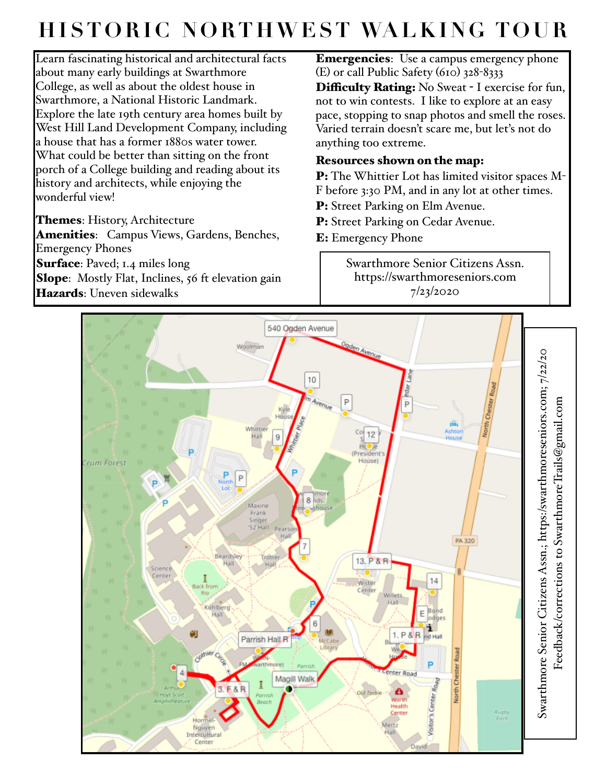## **HISTORIC NORTHWEST WALKING TOUR**

Learn fascinating historical and architectural facts about many early buildings at Swarthmore College, as well as about the oldest house in Swarthmore, a National Historic Landmark. Explore the late 19th century area homes built by West Hill Land Development Company, including a house that has a former 1880s water tower. What could be better than sitting on the front porch of a College building and reading about its history and architects, while enjoying the wonderful view!

Themes: History, Architecture Amenities: Campus Views, Gardens, Benches, Emergency Phones Surface: Paved; 1.4 miles long Slope: Mostly Flat, Inclines, 56 ft elevation gain Hazards: Uneven sidewalks

Emergencies: Use a campus emergency phone (E) or call Public Safety (610) 328-8333 **Difficulty Rating:** No Sweat - I exercise for fun, not to win contests. I like to explore at an easy pace, stopping to snap photos and smell the roses. Varied terrain doesn't scare me, but let's not do anything too extreme.

## Resources shown on the map:

P: The Whittier Lot has limited visitor spaces M-F before 3:30 PM, and in any lot at other times.

P: Street Parking on Elm Avenue.

P: Street Parking on Cedar Avenue.

E: Emergency Phone

Swarthmore Senior Citizens Assn. https://swarthmoreseniors.com 7/23/2020